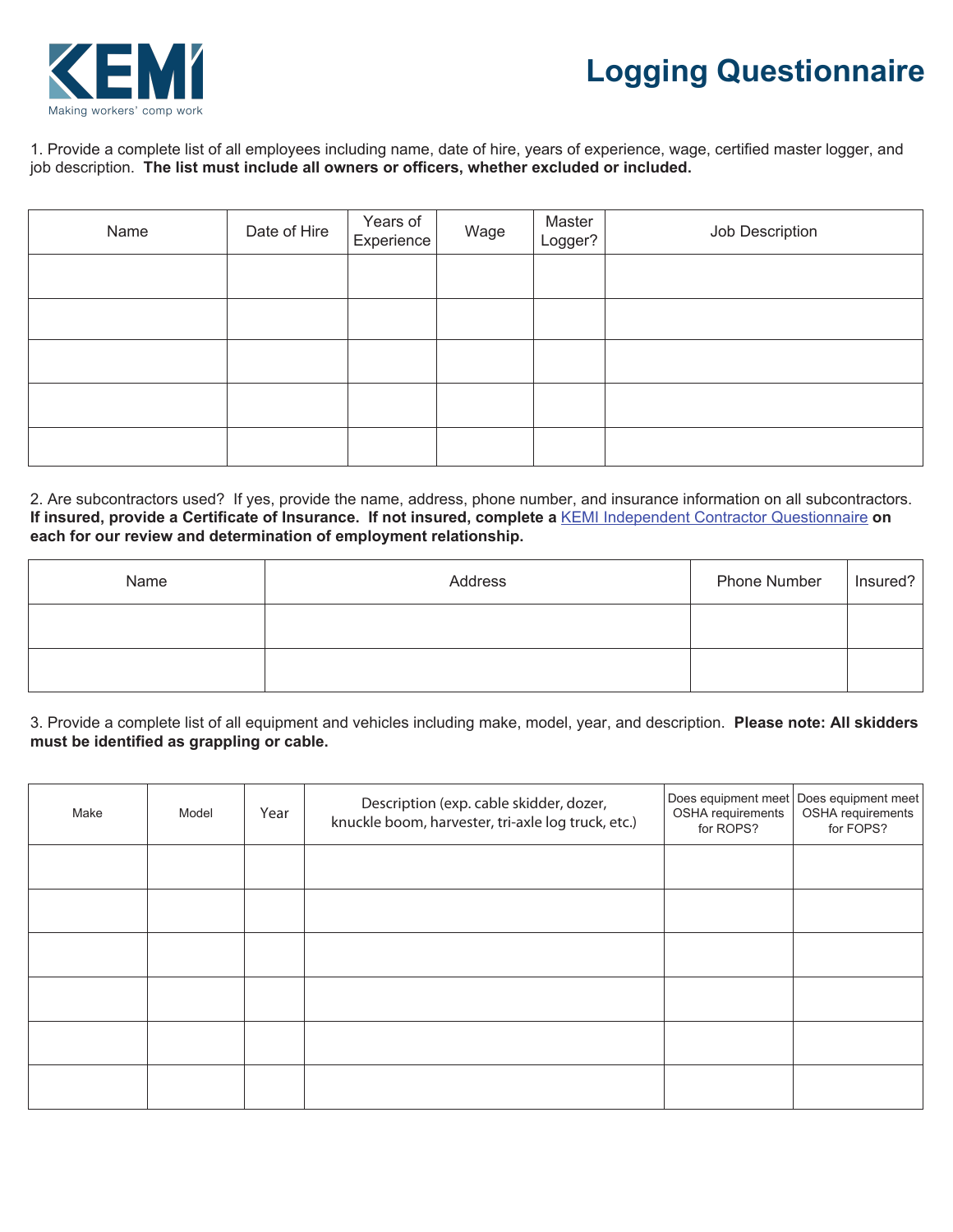

## **Logging Questionnaire**

1. Provide a complete list of all employees including name, date of hire, years of experience, wage, certified master logger, and job description. **The list must include all owners or officers, whether excluded or included.**

| Name | Date of Hire | Years of<br>Experience | Wage | Master<br>Logger? | Job Description |
|------|--------------|------------------------|------|-------------------|-----------------|
|      |              |                        |      |                   |                 |
|      |              |                        |      |                   |                 |
|      |              |                        |      |                   |                 |
|      |              |                        |      |                   |                 |
|      |              |                        |      |                   |                 |

2. Are subcontractors used? If yes, provide the name, address, phone number, and insurance information on all subcontractors. **If insured, provide a Certificate of Insurance. If not insured, complete a** KEMI Independent Contractor Questionnaire **on each for our review and determination of employment relationship.**

| Name | Address | Phone Number | Insured? |
|------|---------|--------------|----------|
|      |         |              |          |
|      |         |              |          |

3. Provide a complete list of all equipment and vehicles including make, model, year, and description. **Please note: All skidders must be identified as grappling or cable.**

| Make | Model | Year | Description (exp. cable skidder, dozer,<br>knuckle boom, harvester, tri-axle log truck, etc.) | OSHA requirements<br>for ROPS? | Does equipment meet   Does equipment meet<br>OSHA requirements<br>for FOPS? |
|------|-------|------|-----------------------------------------------------------------------------------------------|--------------------------------|-----------------------------------------------------------------------------|
|      |       |      |                                                                                               |                                |                                                                             |
|      |       |      |                                                                                               |                                |                                                                             |
|      |       |      |                                                                                               |                                |                                                                             |
|      |       |      |                                                                                               |                                |                                                                             |
|      |       |      |                                                                                               |                                |                                                                             |
|      |       |      |                                                                                               |                                |                                                                             |